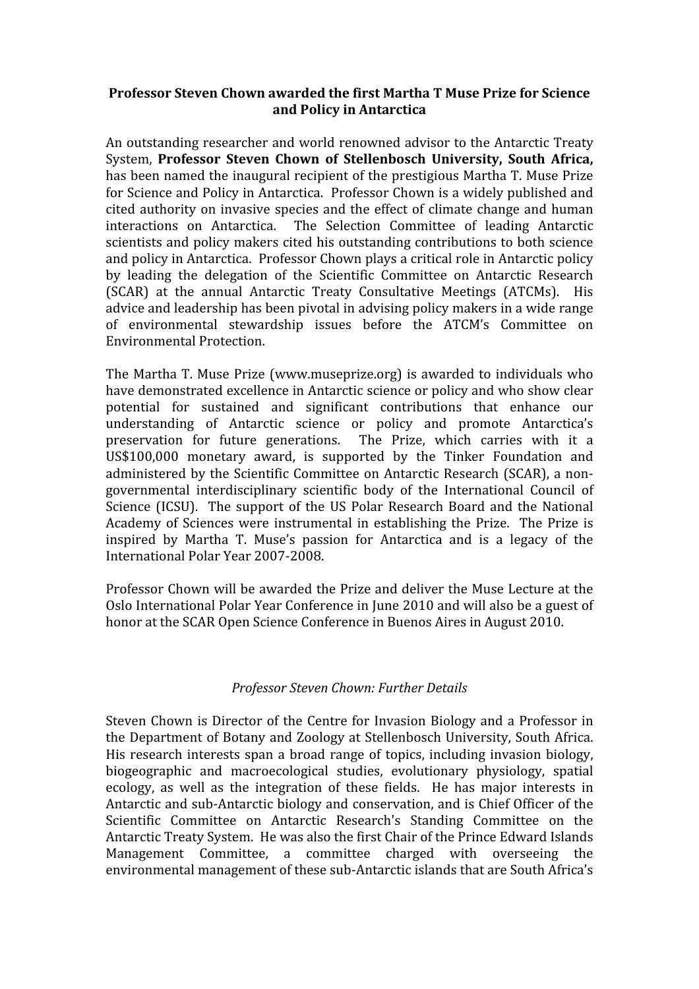## Professor Steven Chown awarded the first Martha T Muse Prize for Science **and
Policy
in
Antarctica**

An
outstanding
researcher
and
world
renowned
advisor
to
the
Antarctic
Treaty System, Professor Steven Chown of Stellenbosch University, South Africa, has
been
named
the
inaugural
recipient
of
the
prestigious
Martha
T.
Muse
Prize for
Science
and
Policy
in
Antarctica. Professor
Chown
is
a
widely
published
and cited
authority
on
invasive
species
and
 the
effect
of
climate
change
and
human interactions
 on
 Antarctica. The
 Selection
 Committee
 of
 leading
 Antarctic scientists and policy makers cited his outstanding contributions to both science and
policy
in
Antarctica. Professor
Chown
plays
a
critical
role
in
Antarctic
policy by
 leading
 the
 delegation
 of
 the
 Scientific
 Committee
 on
 Antarctic
 Research (SCAR) at the annual Antarctic Treaty Consultative Meetings (ATCMs). His advice
and
leadership
has
been
pivotal
in
advising
policy
makers
in
a
wide
range of
 environmental
 stewardship
 issues
 before
 the
 ATCM's
 Committee
 on Environmental
Protection.

The
Martha
T.
Muse
Prize
 (www.museprize.org)
is
awarded
 to
individuals
who have demonstrated excellence in Antarctic science or policy and who show clear potential
 for
 sustained
 and
 significant
 contributions
 that
 enhance
 our understanding of Antarctic science or policy and promote Antarctica's preservation for future generations. The Prize, which carries with it a US\$100,000
 monetary
 award,
 is
 supported
 by
 the
 Tinker
 Foundation and administered by the Scientific Committee on Antarctic Research (SCAR), a nongovernmental interdisciplinary scientific body of the International Council of Science (ICSU). The support of the US Polar Research Board and the National Academy
 of
 Sciences
were
instrumental
in establishing
 the
 Prize. The
 Prize
is inspired
 by
 Martha
 T.
 Muse's
 passion
 for
 Antarctica
 and
 is
 a
 legacy
 of
 the International
Polar
Year
2007‐2008.

Professor
Chown
will
be
awarded
the
Prize
and
deliver
the
Muse
Lecture
at
the Oslo
International
Polar
Year
Conference
in
June
2010
and
will
also
be
a
guest
of honor at the SCAR Open Science Conference in Buenos Aires in August 2010.

## *Professor
Steven
Chown:
Further
Details*

Steven
Chown
is
Director
of
 the
Centre
 for
 Invasion
Biology
and
a
Professor
in the
Department
of
Botany
and
Zoology
at
Stellenbosch
University,
South
Africa. His research interests span a broad range of topics, including invasion biology, biogeographic
 and
 macroecological
 studies,
 evolutionary
 physiology,
 spatial ecology, as well as the integration of these fields. He has major interests in Antarctic
and
sub‐Antarctic
biology
and
conservation,
and
is
Chief
Officer
of
the Scientific
 Committee
 on
 Antarctic
 Research's
 Standing
 Committee
 on
 the Antarctic
Treaty
System. He
was
also
the
first
Chair
of
the
Prince
Edward
Islands Management Committee, a committee charged with overseeing the environmental management of these sub-Antarctic islands that are South Africa's